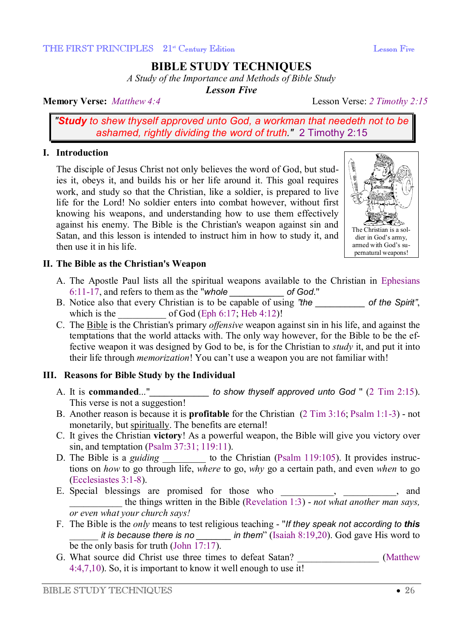## **BIBLE STUDY TECHNIQUES**

*A Study of the Importance and Methods of Bible Study* 

*Lesson Five* 

## **Memory Verse:** *Matthew 4:4* Lesson Verse: *2 Timothy 2:15*

*"Study to shew thyself approved unto God, a workman that needeth not to be ashamed, rightly dividing the word of truth."* 2 Timothy 2:15

#### **I. Introduction**

The disciple of Jesus Christ not only believes the word of God, but studies it, obeys it, and builds his or her life around it. This goal requires work, and study so that the Christian, like a soldier, is prepared to live life for the Lord! No soldier enters into combat however, without first knowing his weapons, and understanding how to use them effectively against his enemy. The Bible is the Christian's weapon against sin and Satan, and this lesson is intended to instruct him in how to study it, and then use it in his life.



## **II. The Bible as the Christian's Weapon**

- A. The Apostle Paul lists all the spiritual weapons available to the Christian in Ephesians 6:11-17, and refers to them as the "*whole \_\_\_\_\_\_\_\_\_\_\_ of God*."
- B. Notice also that every Christian is to be capable of using *"the \_\_\_\_\_\_\_\_\_\_ of the Spirit"*, which is the  $of God (Eph 6:17; Heb 4:12)!$
- C. The Bible is the Christian's primary *offensive* weapon against sin in his life, and against the temptations that the world attacks with. The only way however, for the Bible to be the effective weapon it was designed by God to be, is for the Christian to *study* it, and put it into their life through *memorization*! You can't use a weapon you are not familiar with!

## **III. Reasons for Bible Study by the Individual**

- A. It is **commanded**..."*\_\_\_\_\_\_\_\_\_\_\_\_ to show thyself approved unto God* " (2 Tim 2:15). This verse is not a suggestion!
- B. Another reason is because it is **profitable** for the Christian (2 Tim 3:16; Psalm 1:1-3) not monetarily, but spiritually. The benefits are eternal!
- C. It gives the Christian **victory**! As a powerful weapon, the Bible will give you victory over sin, and temptation (Psalm 37:31; 119:11).
- D. The Bible is a *guiding* \_\_\_\_\_\_\_\_\_\_\_ to the Christian (Psalm 119:105). It provides instructions on *how* to go through life, *where* to go, *why* go a certain path, and even *when* to go (Ecclesiastes 3:1-8).
- E. Special blessings are promised for those who \_\_\_\_\_\_\_\_\_, \_\_\_\_\_\_\_\_, and \_\_\_\_\_\_\_\_\_\_\_ the things written in the Bible (Revelation 1:3) - *not what another man says, or even what your church says!*
- F. The Bible is the *only* means to test religious teaching "*If they speak not according to this* \_\_\_\_\_\_ *it is because there is no \_\_\_\_\_\_\_ in them*" (Isaiah 8:19,20). God gave His word to be the only basis for truth (John 17:17).
- G. What source did Christ use three times to defeat Satan? (Matthew 4:4,7,10). So, it is important to know it well enough to use it!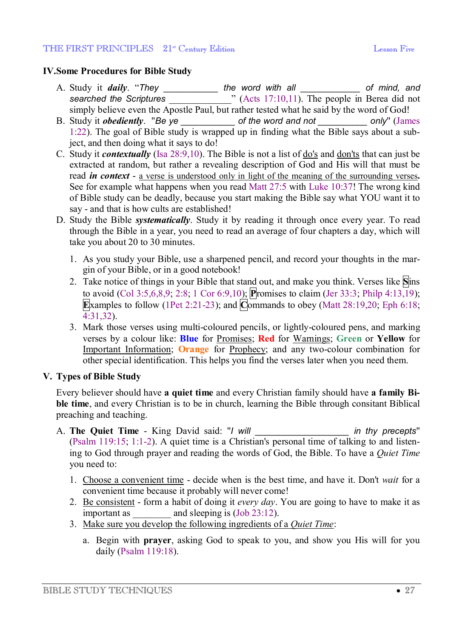#### THE FIRST PRINCIPLES 21<sup>st</sup> Century Edition **Legal Contract Contact Contract Contact Contract Contract Contract Contract Contract Contract Contract Contract Contract Contract Contract Contract Contract Contract Contract Co**

## **IV.Some Procedures for Bible Study**

- A. Study it *daily*. "*They \_\_\_\_\_\_\_\_\_\_\_ the word with all \_\_\_\_\_\_\_\_\_\_\_\_ of mind, and*  **searched** the Scriptures **are** *searched* the Scriptures **and** *s* (Acts 17:10,11). The people in Berea did not simply believe even the Apostle Paul, but rather tested what he said by the word of God!
- B. Study it *obediently*. "*Be ye \_\_\_\_\_\_\_\_\_\_\_ of the word and not \_\_\_\_\_\_\_\_\_\_ only*" (James 1:22). The goal of Bible study is wrapped up in finding what the Bible says about a subject, and then doing what it says to do!
- C. Study it *contextually* (Isa 28:9,10). The Bible is not a list of do's and don'ts that can just be extracted at random, but rather a revealing description of God and His will that must be read *in context* - a verse is understood only in light of the meaning of the surrounding verses**.** See for example what happens when you read Matt 27:5 with Luke 10:37! The wrong kind of Bible study can be deadly, because you start making the Bible say what YOU want it to say - and that is how cults are established!
- D. Study the Bible *systematically*. Study it by reading it through once every year. To read through the Bible in a year, you need to read an average of four chapters a day, which will take you about 20 to 30 minutes.
	- 1. As you study your Bible, use a sharpened pencil, and record your thoughts in the margin of your Bible, or in a good notebook!
	- 2. Take notice of things in your Bible that stand out, and make you think. Verses like **S**ins to avoid (Col 3:5,6,8,9; 2:8; 1 Cor 6:9,10); **P**romises to claim (Jer 33:3; Philp 4:13,19); **E**xamples to follow (1Pet 2:21-23); and  $\overline{\text{C}}$  commands to obey (Matt 28:19,20; Eph 6:18; 4:31,32).
	- 3. Mark those verses using multi-coloured pencils, or lightly-coloured pens, and marking verses by a colour like: **Blue** for Promises; **Red** for Warnings; **Green** or **Yellow** for Important Information; **Orange** for Prophecy; and any two-colour combination for other special identification. This helps you find the verses later when you need them.

## **V. Types of Bible Study**

Every believer should have **a quiet time** and every Christian family should have **a family Bible time**, and every Christian is to be in church, learning the Bible through consitant Biblical preaching and teaching.

- A. **The Quiet Time** King David said: "*I will \_\_\_\_\_\_\_\_\_\_\_\_\_\_\_\_\_\_\_ in thy precepts*" (Psalm 119:15; 1:1-2). A quiet time is a Christian's personal time of talking to and listening to God through prayer and reading the words of God, the Bible. To have a *Quiet Time* you need to:
	- 1. Choose a convenient time decide when is the best time, and have it. Don't *wait* for a convenient time because it probably will never come!
	- 2. Be consistent form a habit of doing it *every day*. You are going to have to make it as important as \_\_\_\_\_\_\_\_ and sleeping is (Job 23:12).
	- 3. Make sure you develop the following ingredients of a *Quiet Time*:
		- a. Begin with **prayer**, asking God to speak to you, and show you His will for you daily (Psalm 119:18).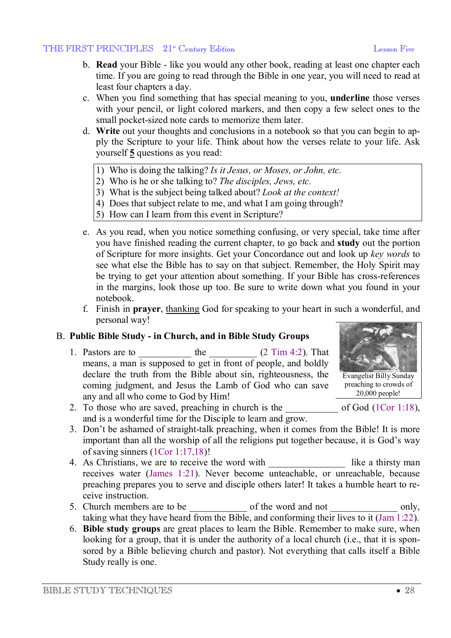- b. **Read** your Bible like you would any other book, reading at least one chapter each time. If you are going to read through the Bible in one year, you will need to read at least four chapters a day.
- c. When you find something that has special meaning to you, **underline** those verses with your pencil, or light colored markers, and then copy a few select ones to the small pocket-sized note cards to memorize them later.
- d. **Write** out your thoughts and conclusions in a notebook so that you can begin to apply the Scripture to your life. Think about how the verses relate to your life. Ask yourself **5** questions as you read:
	- 1) Who is doing the talking? *Is it Jesus, or Moses, or John, etc.*
	- 2) Who is he or she talking to? *The disciples, Jews, etc.*
	- 3) What is the subject being talked about? *Look at the context!*
	- 4) Does that subject relate to me, and what I am going through?
	- 5) How can I learn from this event in Scripture?
- e. As you read, when you notice something confusing, or very special, take time after you have finished reading the current chapter, to go back and **study** out the portion of Scripture for more insights. Get your Concordance out and look up *key words* to see what else the Bible has to say on that subject. Remember, the Holy Spirit may be trying to get your attention about something. If your Bible has cross-references in the margins, look those up too. Be sure to write down what you found in your notebook.
- f. Finish in **prayer**, thanking God for speaking to your heart in such a wonderful, and personal way!

## B. **Public Bible Study - in Church, and in Bible Study Groups**

1. Pastors are to  $\qquad \qquad$  the  $(2 \text{ Tim } 4:2)$ . That means, a man is supposed to get in front of people, and boldly declare the truth from the Bible about sin, righteousness, the coming judgment, and Jesus the Lamb of God who can save any and all who come to God by Him!



- 2. To those who are saved, preaching in church is the  $\qquad \qquad$  of God (1Cor 1:18), and is a wonderful time for the Disciple to learn and grow.
- 3. Don't be ashamed of straight-talk preaching, when it comes from the Bible! It is more important than all the worship of all the religions put together because, it is God's way of saving sinners (1Cor 1:17,18)!
- 4. As Christians, we are to receive the word with like a thirsty man receives water (James 1:21). Never become unteachable, or unreachable, because preaching prepares you to serve and disciple others later! It takes a humble heart to receive instruction.
- 5. Church members are to be  $\qquad \qquad$  of the word and not only, taking what they have heard from the Bible, and conforming their lives to it (Jam 1:22).
- 6. **Bible study groups** are great places to learn the Bible. Remember to make sure, when looking for a group, that it is under the authority of a local church (i.e., that it is sponsored by a Bible believing church and pastor). Not everything that calls itself a Bible Study really is one.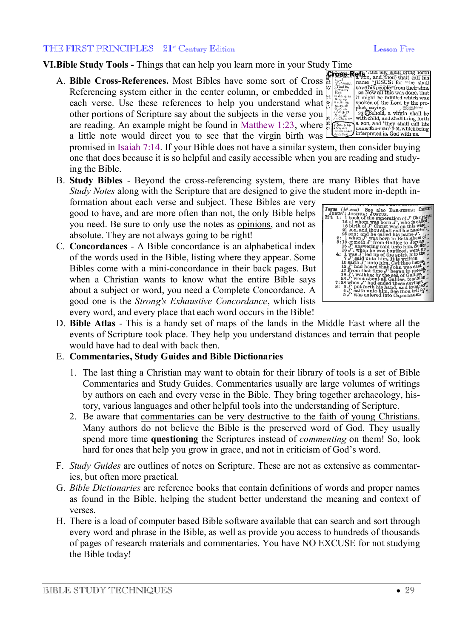#### THE FIRST PRINCIPLES 21<sup>st</sup> Century Edition **Legal Contract Contact Contact Contact Contact Contact Contact Contact Contact Contact Contact Contact Contact Contact Contact Contact Contact Contact Contact Contact Contact Co**

**VI.Bible Study Tools - Things that can help you learn more in your Study Time<br>A. Bible Cross-References. Most Bibles have some sort of Cross**  $\frac{1}{10}$  **and thou shalt call his<br>Referencing system either in the center colu** A. **Bible Cross-References.** Most Bibles have some sort of Cross Referencing system either in the center column, or embedded in Referencing system either in the center column, or embedded in  $\lim_{k \to \infty} \frac{d^n}{k!}$ <br>each verse. Use these references to help you understand what  $\lim_{k \to \infty} \frac{d^n}{k!}$ other portions of Scripture say about the subjects in the verse you are reading. An example might be found in Matthew 1:23, where  $\frac{1}{6}$ a little note would direct you to see that the virgin birth was

promised in Isaiah 7:14. If your Bible does not have a similar system, then consider buying one that does because it is so helpful and easily accessible when you are reading and studying the Bible.

B. **Study Bibles** - Beyond the cross-referencing system, there are many Bibles that have *Study Notes* along with the Scripture that are designed to give the student more in-depth in-

formation about each verse and subject. These Bibles are very good to have, and are more often than not, the only Bible helps you need. Be sure to only use the notes as opinions, and not as absolute. They are not always going to be right!

C. **Concordances** - A Bible concordance is an alphabetical index of the words used in the Bible, listing where they appear. Some Bibles come with a mini-concordance in their back pages. But when a Christian wants to know what the entire Bible says about a subject or word, you need a Complete Concordance. A good one is the *Strong's Exhaustive Concordance*, which lists every word, and every place that each word occurs in the Bible!



D. **Bible Atlas** - This is a handy set of maps of the lands in the Middle East where all the events of Scripture took place. They help you understand distances and terrain that people would have had to deal with back then.

#### E. **Commentaries, Study Guides and Bible Dictionaries**

- 1. The last thing a Christian may want to obtain for their library of tools is a set of Bible Commentaries and Study Guides. Commentaries usually are large volumes of writings by authors on each and every verse in the Bible. They bring together archaeology, history, various languages and other helpful tools into the understanding of Scripture.
- 2. Be aware that commentaries can be very destructive to the faith of young Christians. Many authors do not believe the Bible is the preserved word of God. They usually spend more time **questioning** the Scriptures instead of *commenting* on them! So, look hard for ones that help you grow in grace, and not in criticism of God's word.
- F. *Study Guides* are outlines of notes on Scripture. These are not as extensive as commentaries, but often more practical.
- G. *Bible Dictionaries* are reference books that contain definitions of words and proper names as found in the Bible, helping the student better understand the meaning and context of verses.
- H. There is a load of computer based Bible software available that can search and sort through every word and phrase in the Bible, as well as provide you access to hundreds of thousands of pages of research materials and commentaries. You have NO EXCUSE for not studying the Bible today!

# spoken of the Lord by the prospoken of the Lord by the pro-<br>phet, saying,<br> $^{23}$ CBehold, a virgin shall be with child, and shall bright of<br>a son, and <sup>4</sup>they shall child is a son, and <sup>4</sup>they shall call his<br>name Em-män' u-ël, which being  $\mathbf{t}$   $\begin{matrix} & 825, & 11, & 0 \\ & 0 & 0 & 0 \\ & 82 & 13 & 33 \\ & 14 & 14 & 0 & 0 \\ & 14 & 14 & 0 & 0 \\ & 0 & 0 & 0 & 0 \\ & 0 & 0 & 0 & 0 \\ & 0 & 0 & 0 & 0 \\ & 0 & 0 & 0 & 0 \\ & 0 & 0 & 0 & 0 \\ & 0 & 0 & 0 & 0 \\ & 0 & 0 & 0 & 0 \\ & 0 & 0 & 0 & 0 \\ & 0 & 0 & 0 & 0 \\ & 0 & 0 & 0 & 0 \\ & 0 & 0 &$ interpreted is, God with us.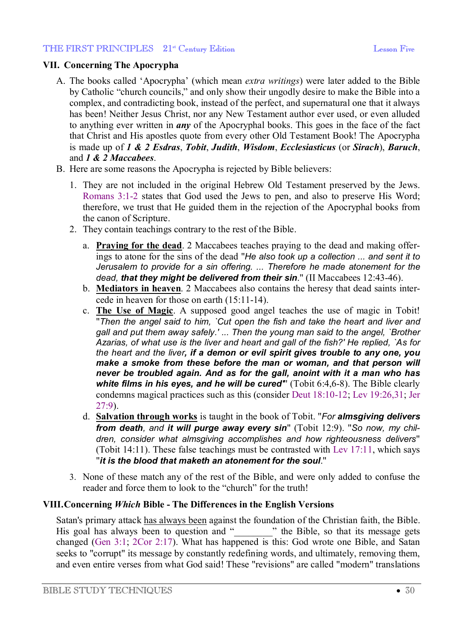## **VII. Concerning The Apocrypha**

- A. The books called 'Apocrypha' (which mean *extra writings*) were later added to the Bible by Catholic "church councils," and only show their ungodly desire to make the Bible into a complex, and contradicting book, instead of the perfect, and supernatural one that it always has been! Neither Jesus Christ, nor any New Testament author ever used, or even alluded to anything ever written in *any* of the Apocryphal books. This goes in the face of the fact that Christ and His apostles quote from every other Old Testament Book! The Apocrypha is made up of *1 & 2 Esdras*, *Tobit*, *Judith*, *Wisdom*, *Ecclesiasticus* (or *Sirach*), *Baruch*, and *1 & 2 Maccabees*.
- B. Here are some reasons the Apocrypha is rejected by Bible believers:
	- 1. They are not included in the original Hebrew Old Testament preserved by the Jews. Romans 3:1-2 states that God used the Jews to pen, and also to preserve His Word; therefore, we trust that He guided them in the rejection of the Apocryphal books from the canon of Scripture.
	- 2. They contain teachings contrary to the rest of the Bible.
		- a. **Praying for the dead**. 2 Maccabees teaches praying to the dead and making offerings to atone for the sins of the dead "*He also took up a collection ... and sent it to Jerusalem to provide for a sin offering. ... Therefore he made atonement for the dead, that they might be delivered from their sin*." (II Maccabees 12:43-46).
		- b. **Mediators in heaven**. 2 Maccabees also contains the heresy that dead saints intercede in heaven for those on earth (15:11-14).
		- c. **The Use of Magic**. A supposed good angel teaches the use of magic in Tobit! "*Then the angel said to him, `Cut open the fish and take the heart and liver and gall and put them away safely.' ... Then the young man said to the angel, `Brother Azarias, of what use is the liver and heart and gall of the fish?' He replied, `As for the heart and the liver, if a demon or evil spirit gives trouble to any one, you make a smoke from these before the man or woman, and that person will never be troubled again. And as for the gall, anoint with it a man who has white films in his eyes, and he will be cured'*" (Tobit 6:4,6-8). The Bible clearly condemns magical practices such as this (consider Deut 18:10-12; Lev 19:26,31; Jer 27:9).
		- d. **Salvation through works** is taught in the book of Tobit. "*For almsgiving delivers from death, and it will purge away every sin*" (Tobit 12:9). "*So now, my children, consider what almsgiving accomplishes and how righteousness delivers*" (Tobit 14:11). These false teachings must be contrasted with Lev 17:11, which says "*it is the blood that maketh an atonement for the soul*."
	- 3. None of these match any of the rest of the Bible, and were only added to confuse the reader and force them to look to the "church" for the truth!

## **VIII.Concerning** *Which* **Bible - The Differences in the English Versions**

Satan's primary attack has always been against the foundation of the Christian faith, the Bible. His goal has always been to question and "  $\ldots$  " the Bible, so that its message gets changed (Gen 3:1; 2Cor 2:17). What has happened is this: God wrote one Bible, and Satan seeks to "corrupt" its message by constantly redefining words, and ultimately, removing them, and even entire verses from what God said! These "revisions" are called "modern" translations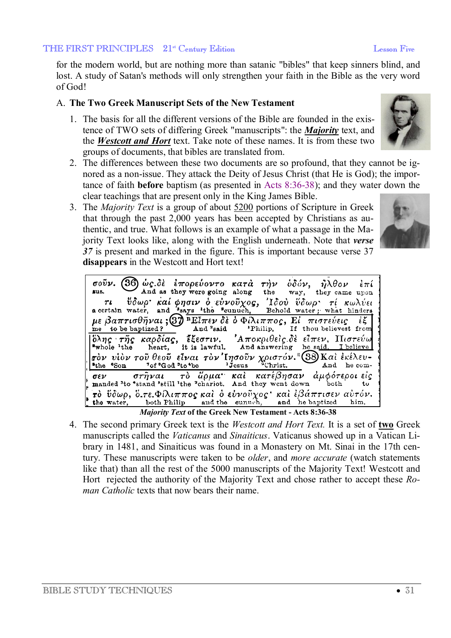for the modern world, but are nothing more than satanic "bibles" that keep sinners blind, and lost. A study of Satan's methods will only strengthen your faith in the Bible as the very word of God!

## A. **The Two Greek Manuscript Sets of the New Testament**

- 1. The basis for all the different versions of the Bible are founded in the existence of TWO sets of differing Greek "manuscripts": the *Majority* text, and the *Westcott and Hort* text. Take note of these names. It is from these two groups of documents, that bibles are translated from.
- 2. The differences between these two documents are so profound, that they cannot be ignored as a non-issue. They attack the Deity of Jesus Christ (that He is God); the importance of faith **before** baptism (as presented in Acts 8:36-38); and they water down the clear teachings that are present only in the King James Bible.
- 3. The *Majority Text* is a group of about 5200 portions of Scripture in Greek that through the past 2,000 years has been accepted by Christians as authentic, and true. What follows is an example of what a passage in the Majority Text looks like, along with the English underneath. Note that *verse 37* is present and marked in the figure. This is important because verse 37 **disappears** in the Westcott and Hort text!

| σούν. (36 ως δε έπορεύοντο κατά τήν οδόν, ήλθον επί<br>sus. And as they were going along the way, they came upon                                                                                                                                                                                                          |  |  |  |  |  |
|---------------------------------------------------------------------------------------------------------------------------------------------------------------------------------------------------------------------------------------------------------------------------------------------------------------------------|--|--|--|--|--|
|                                                                                                                                                                                                                                                                                                                           |  |  |  |  |  |
| τι ύδωρ καί φησιν ο εύνουχος, Ιδού ύδωρ τι κωλύει<br>a certain water, and says the seunuch, Behold water; what hinders i                                                                                                                                                                                                  |  |  |  |  |  |
|                                                                                                                                                                                                                                                                                                                           |  |  |  |  |  |
| $\mu \in \beta a \pi \tau \iota \sigma \theta \tilde{\eta} \nu a \iota ; \mathcal{D}$ El $\pi \epsilon \nu$ or $\delta \epsilon$ of $\lambda \iota \pi \pi o \zeta$ , $E$ $\tau \iota \sigma \tau \epsilon \nu \epsilon \iota \zeta$ if $\epsilon$ is and $\epsilon$ is the position of $\epsilon$                        |  |  |  |  |  |
|                                                                                                                                                                                                                                                                                                                           |  |  |  |  |  |
| $\begin{bmatrix} 6\lambda\eta c & \tau\tilde{\eta}c & \kappa\alpha\rho\delta i\alpha\zeta, & \tilde{\epsilon}\xi\epsilon\sigma\tau\iota\nu, & \Lambda\pi\alpha\kappa\rho\iota\theta\epsilon i\zeta\cdot\delta\epsilon & \epsilon\tilde{\iota}\pi\epsilon\nu, & \Pi\iota\sigma\tau\epsilon\dot{\iota}\omega \end{bmatrix}$ |  |  |  |  |  |
|                                                                                                                                                                                                                                                                                                                           |  |  |  |  |  |
| $r^{\delta \nu}$ νίδν του θεού είναι τον Ιησούν χριστόν. [38] Και εκέλευ-                                                                                                                                                                                                                                                 |  |  |  |  |  |
|                                                                                                                                                                                                                                                                                                                           |  |  |  |  |  |
| $\int_{k}$ $\sigma \epsilon \nu$ $\sigma \tau \tilde{\eta} \nu a \iota$ $\tau \delta$ $\ddot{\theta} \rho \mu a$ $\kappa a \iota$ $\kappa \alpha \tau \epsilon \beta \eta \sigma a \nu$ $\dot{\alpha} \mu \phi \acute{\sigma} \tau \epsilon \rho o \iota$ $\epsilon \dot{\iota} \zeta$                                    |  |  |  |  |  |
| $\frac{1}{2}$ το ύδωρ, ό.τε. Φίλιππος και ο εύνουχος και έβάπτισεν αυτόν.                                                                                                                                                                                                                                                 |  |  |  |  |  |
| <i>Majority Toyt</i> of the Creek New Tostament Acts 8.36 38                                                                                                                                                                                                                                                              |  |  |  |  |  |

*Majority Text* **of the Greek New Testament - Acts 8:36-38**

4. The second primary Greek text is the *Westcott and Hort Text.* It is a set of **two** Greek manuscripts called the *Vaticanus* and *Sinaiticus*. Vaticanus showed up in a Vatican Library in 1481, and Sinaiticus was found in a Monastery on Mt. Sinai in the 17th century. These manuscripts were taken to be *older*, and *more accurate* (watch statements like that) than all the rest of the 5000 manuscripts of the Majority Text! Westcott and Hort rejected the authority of the Majority Text and chose rather to accept these *Roman Catholic* texts that now bears their name.

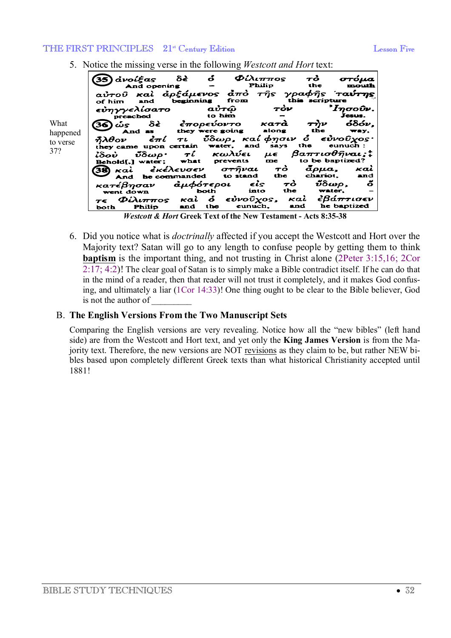- ဝ  $\boldsymbol{\varPhi}$ ίλιππος ανοίξας ઠક Τò στόμα  $(35)$ Philip the mouth And opening γραφής<br>this scrip ἀρξάμενος ταύτης Kai  $\frac{1}{2}$  $\tau \hat{\eta}$ s airoû from of him and beginning scripture εὐηγγελίσατο TÒV  $\displaystyle\frac{3}{2}I\eta\sigma$ o $\displaystyle\frac{1}{2}$ Jesus. aủτ@ preached to him ဝံဝိဝဴး, What ἐπορεύοντο ယ်န 82 Katà  $\bm{\tau}$ yv the they .<br>were going along wav. happened And 83 καί φησιν å  $5\delta\omega\rho$ , εὐνοῦχος દેπί fiλθον TL. to verse the they came upon certain water, and says eunuch 37? $\beta$ a $\pi$ rισθήναι; $\ddagger$  $\boldsymbol{\tau}$ ί κωλύει  $\mu\epsilon$ <u> մ</u>δωρ• idoù what prevents me to be baptized? Behold[,] water: тò  $\bar{a} \rho \mu a$ , Kai ἐκέλευσεν στήναι xaì 38 be commanded to stand the chariot. and And մδωρ, κατέβησαν άμφότεροι  $\epsilon$ is õ ታሪ  $\frac{1}{1}$  water, both into the went down  $\dot{\mathbf{c}}$ €ὐνοῦχος, ἐβάπτισεν Kai  $\Phi$ ίλιππος ĸaì  $T \in$ and the eunuch, and he baptized Philip both
- 5. Notice the missing verse in the following *Westcott and Hort* text:

*Westcott & Hort* **Greek Text of the New Testament - Acts 8:35-38**

6. Did you notice what is *doctrinally* affected if you accept the Westcott and Hort over the Majority text? Satan will go to any length to confuse people by getting them to think **baptism** is the important thing, and not trusting in Christ alone (2Peter 3:15,16; 2Cor 2:17; 4:2)! The clear goal of Satan is to simply make a Bible contradict itself. If he can do that in the mind of a reader, then that reader will not trust it completely, and it makes God confusing, and ultimately a liar (1Cor 14:33)! One thing ought to be clear to the Bible believer, God is not the author of

## B. **The English Versions From the Two Manuscript Sets**

Comparing the English versions are very revealing. Notice how all the "new bibles" (left hand side) are from the Westcott and Hort text, and yet only the **King James Version** is from the Majority text. Therefore, the new versions are NOT revisions as they claim to be, but rather NEW bibles based upon completely different Greek texts than what historical Christianity accepted until 1881!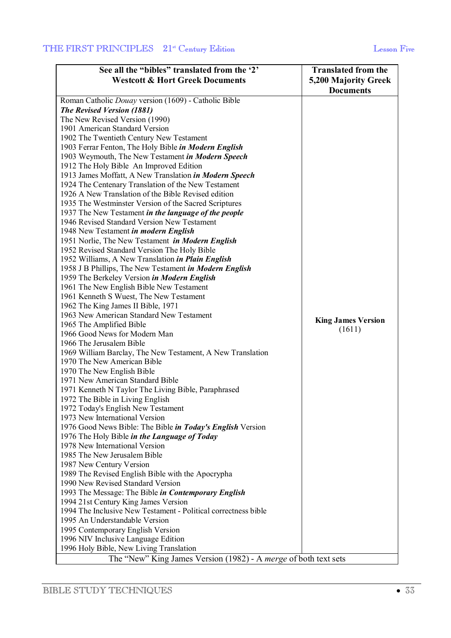| See all the "bibles" translated from the '2'                    | <b>Translated from the</b> |
|-----------------------------------------------------------------|----------------------------|
| <b>Westcott &amp; Hort Greek Documents</b>                      | 5,200 Majority Greek       |
|                                                                 | <b>Documents</b>           |
| Roman Catholic Douay version (1609) - Catholic Bible            |                            |
| <b>The Revised Version (1881)</b>                               |                            |
| The New Revised Version (1990)                                  |                            |
| 1901 American Standard Version                                  |                            |
| 1902 The Twentieth Century New Testament                        |                            |
| 1903 Ferrar Fenton, The Holy Bible in Modern English            |                            |
| 1903 Weymouth, The New Testament in Modern Speech               |                            |
| 1912 The Holy Bible An Improved Edition                         |                            |
| 1913 James Moffatt, A New Translation in Modern Speech          |                            |
| 1924 The Centenary Translation of the New Testament             |                            |
| 1926 A New Translation of the Bible Revised edition             |                            |
| 1935 The Westminster Version of the Sacred Scriptures           |                            |
| 1937 The New Testament in the language of the people            |                            |
| 1946 Revised Standard Version New Testament                     |                            |
| 1948 New Testament in modern English                            |                            |
| 1951 Norlie, The New Testament in Modern English                |                            |
| 1952 Revised Standard Version The Holy Bible                    |                            |
| 1952 Williams, A New Translation in Plain English               |                            |
| 1958 J B Phillips, The New Testament in Modern English          |                            |
| 1959 The Berkeley Version in Modern English                     |                            |
| 1961 The New English Bible New Testament                        |                            |
| 1961 Kenneth S Wuest, The New Testament                         |                            |
| 1962 The King James II Bible, 1971                              |                            |
| 1963 New American Standard New Testament                        |                            |
| 1965 The Amplified Bible                                        | <b>King James Version</b>  |
| 1966 Good News for Modern Man                                   | (1611)                     |
| 1966 The Jerusalem Bible                                        |                            |
| 1969 William Barclay, The New Testament, A New Translation      |                            |
| 1970 The New American Bible                                     |                            |
| 1970 The New English Bible                                      |                            |
| 1971 New American Standard Bible                                |                            |
| 1971 Kenneth N Taylor The Living Bible, Paraphrased             |                            |
| 1972 The Bible in Living English                                |                            |
| 1972 Today's English New Testament                              |                            |
| 1973 New International Version                                  |                            |
| 1976 Good News Bible: The Bible in Today's English Version      |                            |
| 1976 The Holy Bible in the Language of Today                    |                            |
| 1978 New International Version                                  |                            |
| 1985 The New Jerusalem Bible                                    |                            |
| 1987 New Century Version                                        |                            |
| 1989 The Revised English Bible with the Apocrypha               |                            |
| 1990 New Revised Standard Version                               |                            |
| 1993 The Message: The Bible in Contemporary English             |                            |
| 1994 21st Century King James Version                            |                            |
| 1994 The Inclusive New Testament - Political correctness bible  |                            |
| 1995 An Understandable Version                                  |                            |
| 1995 Contemporary English Version                               |                            |
| 1996 NIV Inclusive Language Edition                             |                            |
| 1996 Holy Bible, New Living Translation                         |                            |
| The "New" King James Version (1982) - A merge of both text sets |                            |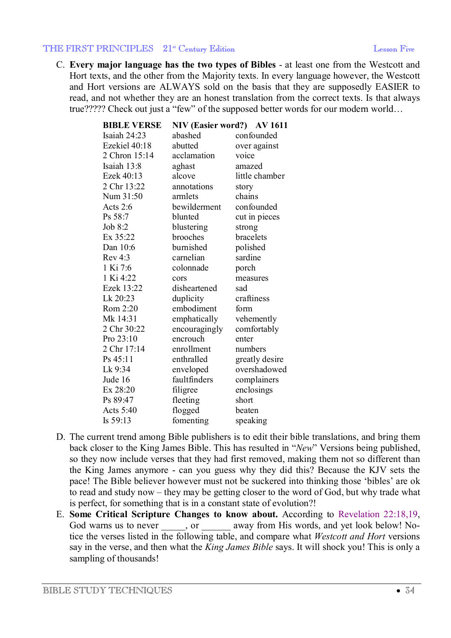C. **Every major language has the two types of Bibles** - at least one from the Westcott and Hort texts, and the other from the Majority texts. In every language however, the Westcott and Hort versions are ALWAYS sold on the basis that they are supposedly EASIER to read, and not whether they are an honest translation from the correct texts. Is that always true????? Check out just a "few" of the supposed better words for our modern world…

| <b>BIBLE VERSE</b> | NIV (Easier word?) AV 1611 |                |
|--------------------|----------------------------|----------------|
| Isaiah 24:23       | abashed                    | confounded     |
| Ezekiel 40:18      | abutted                    | over against   |
| 2 Chron 15:14      | acclamation                | voice          |
| Isaiah 13:8        | aghast                     | amazed         |
| Ezek 40:13         | alcove                     | little chamber |
| 2 Chr 13:22        | annotations                | story          |
| Num 31:50          | armlets                    | chains         |
| Acts $2:6$         | bewilderment               | confounded     |
| Ps 58:7            | blunted                    | cut in pieces  |
| Job $8:2$          | blustering                 | strong         |
| Ex 35:22           | brooches                   | bracelets      |
| Dan 10:6           | burnished                  | polished       |
| Rev 4:3            | carnelian                  | sardine        |
| 1 Ki 7:6           | colonnade                  | porch          |
| 1 Ki 4:22          | cors                       | measures       |
| Ezek 13:22         | disheartened               | sad            |
| Lk 20:23           | duplicity                  | craftiness     |
| Rom 2:20           | embodiment                 | form           |
| Mk 14:31           | emphatically               | vehemently     |
| 2 Chr 30:22        | encouragingly              | comfortably    |
| Pro 23:10          | encrouch                   | enter          |
| 2 Chr 17:14        | enrollment                 | numbers        |
| Ps 45:11           | enthralled                 | greatly desire |
| Lk 9:34            | enveloped                  | overshadowed   |
| Jude 16            | faultfinders               | complainers    |
| Ex 28:20           | filigree                   | enclosings     |
| Ps 89:47           | fleeting                   | short          |
| Acts 5:40          | flogged                    | beaten         |
| Is 59:13           | fomenting                  | speaking       |

- D. The current trend among Bible publishers is to edit their bible translations, and bring them back closer to the King James Bible. This has resulted in "*New*" Versions being published, so they now include verses that they had first removed, making them not so different than the King James anymore - can you guess why they did this? Because the KJV sets the pace! The Bible believer however must not be suckered into thinking those 'bibles' are ok to read and study now – they may be getting closer to the word of God, but why trade what is perfect, for something that is in a constant state of evolution?!
- E. **Some Critical Scripture Changes to know about.** According to Revelation 22:18,19, God warns us to never , or away from His words, and yet look below! Notice the verses listed in the following table, and compare what *Westcott and Hort* versions say in the verse, and then what the *King James Bible* says. It will shock you! This is only a sampling of thousands!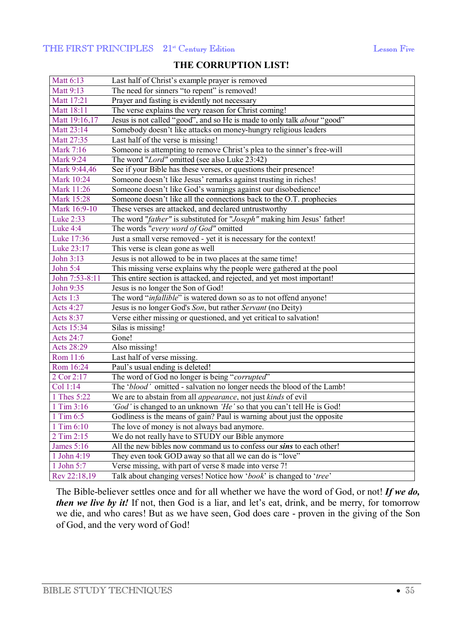## **THE CORRUPTION LIST!**

| Matt 6:13         | Last half of Christ's example prayer is removed                         |
|-------------------|-------------------------------------------------------------------------|
| Matt 9:13         | The need for sinners "to repent" is removed!                            |
| Matt 17:21        | Prayer and fasting is evidently not necessary                           |
| Matt 18:11        | The verse explains the very reason for Christ coming!                   |
| Matt 19:16,17     | Jesus is not called "good", and so He is made to only talk about "good" |
| Matt 23:14        | Somebody doesn't like attacks on money-hungry religious leaders         |
| Matt 27:35        | Last half of the verse is missing!                                      |
| Mark 7:16         | Someone is attempting to remove Christ's plea to the sinner's free-will |
| <b>Mark 9:24</b>  | The word "Lord" omitted (see also Luke 23:42)                           |
| Mark 9:44,46      | See if your Bible has these verses, or questions their presence!        |
| Mark 10:24        | Someone doesn't like Jesus' remarks against trusting in riches!         |
| Mark 11:26        | Someone doesn't like God's warnings against our disobedience!           |
| <b>Mark 15:28</b> | Someone doesn't like all the connections back to the O.T. prophecies    |
| Mark 16:9-10      | These verses are attacked, and declared untrustworthy                   |
| Luke 2:33         | The word "father" is substituted for "Joseph" making him Jesus' father! |
| Luke 4:4          | The words "every word of God" omitted                                   |
| Luke 17:36        | Just a small verse removed - yet it is necessary for the context!       |
| Luke 23:17        | This verse is clean gone as well                                        |
| John 3:13         | Jesus is not allowed to be in two places at the same time!              |
| John 5:4          | This missing verse explains why the people were gathered at the pool    |
| John 7:53-8:11    | This entire section is attacked, and rejected, and yet most important!  |
| John 9:35         | Jesus is no longer the Son of God!                                      |
| Acts 1:3          | The word "infallible" is watered down so as to not offend anyone!       |
| <b>Acts 4:27</b>  | Jesus is no longer God's Son, but rather Servant (no Deity)             |
| Acts 8:37         | Verse either missing or questioned, and yet critical to salvation!      |
| Acts 15:34        | Silas is missing!                                                       |
| Acts 24:7         | Gone!                                                                   |
| Acts 28:29        | Also missing!                                                           |
| Rom 11:6          | Last half of verse missing.                                             |
| Rom 16:24         | Paul's usual ending is deleted!                                         |
| 2 Cor 2:17        | The word of God no longer is being "corrupted"                          |
| Col 1:14          | The 'blood' omitted - salvation no longer needs the blood of the Lamb!  |
| 1 Thes 5:22       | We are to abstain from all <i>appearance</i> , not just kinds of evil   |
| 1 Tim 3:16        | 'God' is changed to an unknown 'He' so that you can't tell He is God!   |
| 1 Tim 6:5         | Godliness is the means of gain? Paul is warning about just the opposite |
| 1 Tim 6:10        | The love of money is not always bad anymore.                            |
| 2 Tim 2:15        | We do not really have to STUDY our Bible anymore                        |
| <b>James</b> 5:16 | All the new bibles now command us to confess our sins to each other!    |
| 1 John 4:19       | They even took GOD away so that all we can do is "love"                 |
| 1 John 5:7        | Verse missing, with part of verse 8 made into verse 7!                  |
| Rev 22:18,19      | Talk about changing verses! Notice how 'book' is changed to 'tree'      |

The Bible-believer settles once and for all whether we have the word of God, or not! *If we do, then* we live by it! If not, then God is a liar, and let's eat, drink, and be merry, for tomorrow we die, and who cares! But as we have seen, God does care - proven in the giving of the Son of God, and the very word of God!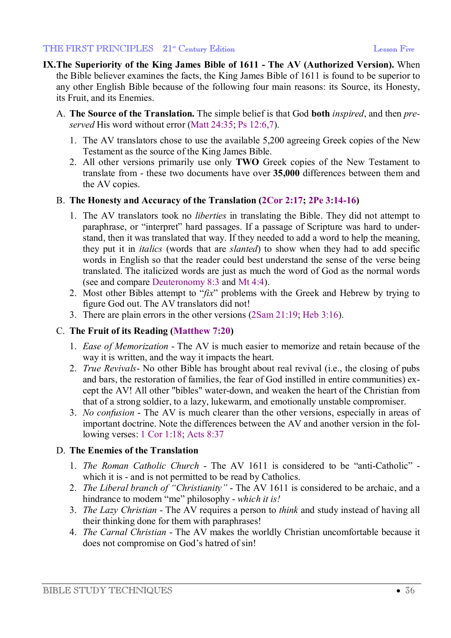- **IX.The Superiority of the King James Bible of 1611 - The AV (Authorized Version).** When the Bible believer examines the facts, the King James Bible of 1611 is found to be superior to any other English Bible because of the following four main reasons: its Source, its Honesty, its Fruit, and its Enemies.
	- A. **The Source of the Translation.** The simple belief is that God **both** *inspired*, and then *preserved* His word without error (Matt 24:35; Ps 12:6,7).
		- 1. The AV translators chose to use the available 5,200 agreeing Greek copies of the New Testament as the source of the King James Bible.
		- 2. All other versions primarily use only **TWO** Greek copies of the New Testament to translate from - these two documents have over **35,000** differences between them and the AV copies.

## B. **The Honesty and Accuracy of the Translation (2Cor 2:17; 2Pe 3:14-16)**

- 1. The AV translators took no *liberties* in translating the Bible. They did not attempt to paraphrase, or "interpret" hard passages. If a passage of Scripture was hard to understand, then it was translated that way. If they needed to add a word to help the meaning, they put it in *italics* (words that are *slanted*) to show when they had to add specific words in English so that the reader could best understand the sense of the verse being translated. The italicized words are just as much the word of God as the normal words (see and compare Deuteronomy 8:3 and Mt 4:4).
- 2. Most other Bibles attempt to "*fix*" problems with the Greek and Hebrew by trying to figure God out. The AV translators did not!
- 3. There are plain errors in the other versions (2Sam 21:19; Heb 3:16).

## C. **The Fruit of its Reading (Matthew 7:20)**

- 1. *Ease of Memorization* The AV is much easier to memorize and retain because of the way it is written, and the way it impacts the heart.
- 2. *True Revivals* No other Bible has brought about real revival (i.e., the closing of pubs and bars, the restoration of families, the fear of God instilled in entire communities) except the AV! All other "bibles" water-down, and weaken the heart of the Christian from that of a strong soldier, to a lazy, lukewarm, and emotionally unstable compromiser.
- 3. *No confusion* The AV is much clearer than the other versions, especially in areas of important doctrine. Note the differences between the AV and another version in the following verses: 1 Cor 1:18; Acts 8:37

## D. **The Enemies of the Translation**

- 1. *The Roman Catholic Church* The AV 1611 is considered to be "anti-Catholic" which it is - and is not permitted to be read by Catholics.
- 2. *The Liberal branch of "Christianity"* The AV 1611 is considered to be archaic, and a hindrance to modern "me" philosophy - *which it is!*
- 3. *The Lazy Christian* The AV requires a person to *think* and study instead of having all their thinking done for them with paraphrases!
- 4. *The Carnal Christian* The AV makes the worldly Christian uncomfortable because it does not compromise on God's hatred of sin!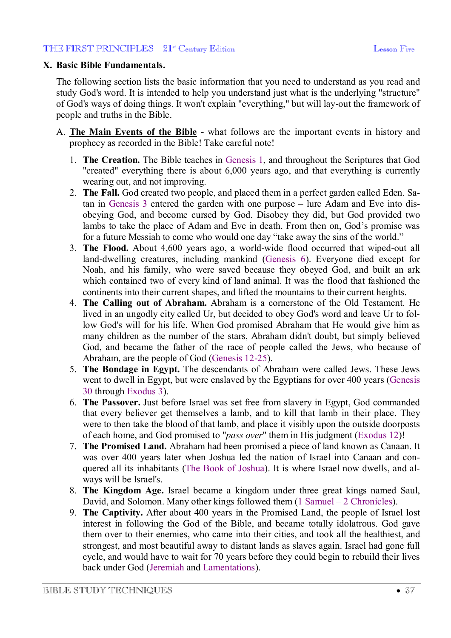#### **X. Basic Bible Fundamentals.**

The following section lists the basic information that you need to understand as you read and study God's word. It is intended to help you understand just what is the underlying "structure" of God's ways of doing things. It won't explain "everything," but will lay-out the framework of people and truths in the Bible.

- A. **The Main Events of the Bible** what follows are the important events in history and prophecy as recorded in the Bible! Take careful note!
	- 1. **The Creation.** The Bible teaches in Genesis 1, and throughout the Scriptures that God "created" everything there is about 6,000 years ago, and that everything is currently wearing out, and not improving.
	- 2. **The Fall.** God created two people, and placed them in a perfect garden called Eden. Satan in Genesis 3 entered the garden with one purpose – lure Adam and Eve into disobeying God, and become cursed by God. Disobey they did, but God provided two lambs to take the place of Adam and Eve in death. From then on, God's promise was for a future Messiah to come who would one day "take away the sins of the world."
	- 3. **The Flood.** About 4,600 years ago, a world-wide flood occurred that wiped-out all land-dwelling creatures, including mankind (Genesis 6). Everyone died except for Noah, and his family, who were saved because they obeyed God, and built an ark which contained two of every kind of land animal. It was the flood that fashioned the continents into their current shapes, and lifted the mountains to their current heights.
	- 4. **The Calling out of Abraham.** Abraham is a cornerstone of the Old Testament. He lived in an ungodly city called Ur, but decided to obey God's word and leave Ur to follow God's will for his life. When God promised Abraham that He would give him as many children as the number of the stars, Abraham didn't doubt, but simply believed God, and became the father of the race of people called the Jews, who because of Abraham, are the people of God (Genesis 12-25).
	- 5. **The Bondage in Egypt.** The descendants of Abraham were called Jews. These Jews went to dwell in Egypt, but were enslaved by the Egyptians for over 400 years (Genesis 30 through Exodus 3).
	- 6. **The Passover.** Just before Israel was set free from slavery in Egypt, God commanded that every believer get themselves a lamb, and to kill that lamb in their place. They were to then take the blood of that lamb, and place it visibly upon the outside doorposts of each home, and God promised to "*pass over*" them in His judgment (Exodus 12)!
	- 7. **The Promised Land.** Abraham had been promised a piece of land known as Canaan. It was over 400 years later when Joshua led the nation of Israel into Canaan and conquered all its inhabitants (The Book of Joshua). It is where Israel now dwells, and always will be Israel's.
	- 8. **The Kingdom Age.** Israel became a kingdom under three great kings named Saul, David, and Solomon. Many other kings followed them (1 Samuel – 2 Chronicles).
	- 9. **The Captivity.** After about 400 years in the Promised Land, the people of Israel lost interest in following the God of the Bible, and became totally idolatrous. God gave them over to their enemies, who came into their cities, and took all the healthiest, and strongest, and most beautiful away to distant lands as slaves again. Israel had gone full cycle, and would have to wait for 70 years before they could begin to rebuild their lives back under God (Jeremiah and Lamentations).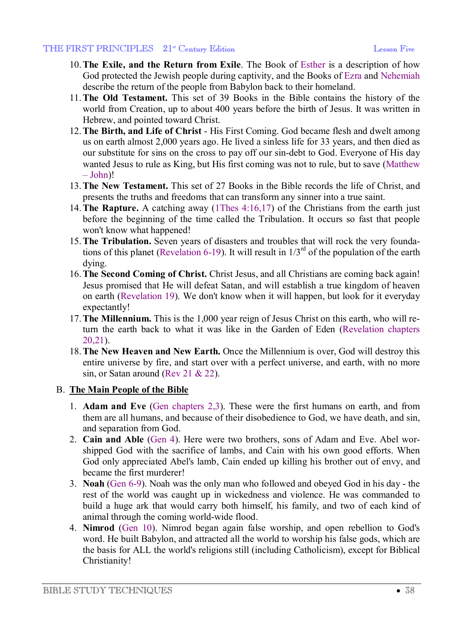- 10.**The Exile, and the Return from Exile**. The Book of Esther is a description of how God protected the Jewish people during captivity, and the Books of Ezra and Nehemiah describe the return of the people from Babylon back to their homeland.
- 11.**The Old Testament.** This set of 39 Books in the Bible contains the history of the world from Creation, up to about 400 years before the birth of Jesus. It was written in Hebrew, and pointed toward Christ.
- 12.**The Birth, and Life of Christ** His First Coming. God became flesh and dwelt among us on earth almost 2,000 years ago. He lived a sinless life for 33 years, and then died as our substitute for sins on the cross to pay off our sin-debt to God. Everyone of His day wanted Jesus to rule as King, but His first coming was not to rule, but to save (Matthew  $-John!$
- 13.**The New Testament.** This set of 27 Books in the Bible records the life of Christ, and presents the truths and freedoms that can transform any sinner into a true saint.
- 14.**The Rapture.** A catching away (1Thes 4:16,17) of the Christians from the earth just before the beginning of the time called the Tribulation. It occurs so fast that people won't know what happened!
- 15.**The Tribulation.** Seven years of disasters and troubles that will rock the very foundations of this planet (Revelation 6-19). It will result in  $1/3^{rd}$  of the population of the earth dying.
- 16.**The Second Coming of Christ.** Christ Jesus, and all Christians are coming back again! Jesus promised that He will defeat Satan, and will establish a true kingdom of heaven on earth (Revelation 19). We don't know when it will happen, but look for it everyday expectantly!
- 17.**The Millennium.** This is the 1,000 year reign of Jesus Christ on this earth, who will return the earth back to what it was like in the Garden of Eden (Revelation chapters 20,21).
- 18.**The New Heaven and New Earth.** Once the Millennium is over, God will destroy this entire universe by fire, and start over with a perfect universe, and earth, with no more sin, or Satan around (Rev 21 & 22).

## B. **The Main People of the Bible**

- 1. **Adam and Eve** (Gen chapters 2,3). These were the first humans on earth, and from them are all humans, and because of their disobedience to God, we have death, and sin, and separation from God.
- 2. **Cain and Able** (Gen 4). Here were two brothers, sons of Adam and Eve. Abel worshipped God with the sacrifice of lambs, and Cain with his own good efforts. When God only appreciated Abel's lamb, Cain ended up killing his brother out of envy, and became the first murderer!
- 3. **Noah** (Gen 6-9). Noah was the only man who followed and obeyed God in his day the rest of the world was caught up in wickedness and violence. He was commanded to build a huge ark that would carry both himself, his family, and two of each kind of animal through the coming world-wide flood.
- 4. **Nimrod** (Gen 10). Nimrod began again false worship, and open rebellion to God's word. He built Babylon, and attracted all the world to worship his false gods, which are the basis for ALL the world's religions still (including Catholicism), except for Biblical Christianity!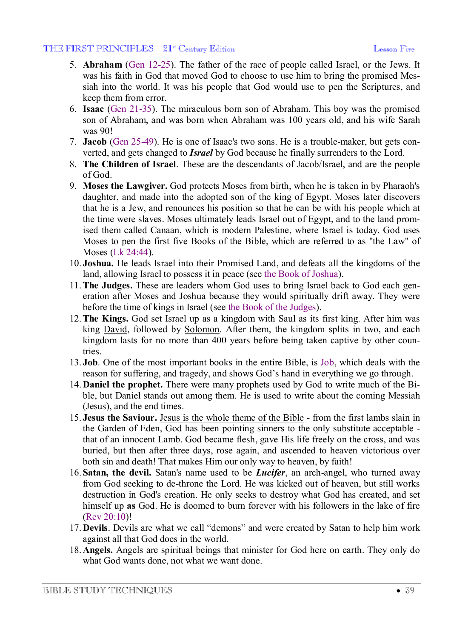- 5. **Abraham** (Gen 12-25). The father of the race of people called Israel, or the Jews. It was his faith in God that moved God to choose to use him to bring the promised Messiah into the world. It was his people that God would use to pen the Scriptures, and keep them from error.
- 6. **Isaac** (Gen 21-35). The miraculous born son of Abraham. This boy was the promised son of Abraham, and was born when Abraham was 100 years old, and his wife Sarah was 90!
- 7. **Jacob** (Gen 25-49). He is one of Isaac's two sons. He is a trouble-maker, but gets converted, and gets changed to *Israel* by God because he finally surrenders to the Lord.
- 8. **The Children of Israel**. These are the descendants of Jacob/Israel, and are the people of God.
- 9. **Moses the Lawgiver.** God protects Moses from birth, when he is taken in by Pharaoh's daughter, and made into the adopted son of the king of Egypt. Moses later discovers that he is a Jew, and renounces his position so that he can be with his people which at the time were slaves. Moses ultimately leads Israel out of Egypt, and to the land promised them called Canaan, which is modern Palestine, where Israel is today. God uses Moses to pen the first five Books of the Bible, which are referred to as "the Law" of Moses (Lk 24:44).
- 10. **Joshua.** He leads Israel into their Promised Land, and defeats all the kingdoms of the land, allowing Israel to possess it in peace (see the Book of Joshua).
- 11.**The Judges.** These are leaders whom God uses to bring Israel back to God each generation after Moses and Joshua because they would spiritually drift away. They were before the time of kings in Israel (see the Book of the Judges).
- 12.**The Kings.** God set Israel up as a kingdom with Saul as its first king. After him was king David, followed by Solomon. After them, the kingdom splits in two, and each kingdom lasts for no more than 400 years before being taken captive by other countries.
- 13. **Job**. One of the most important books in the entire Bible, is Job, which deals with the reason for suffering, and tragedy, and shows God's hand in everything we go through.
- 14.**Daniel the prophet.** There were many prophets used by God to write much of the Bible, but Daniel stands out among them. He is used to write about the coming Messiah (Jesus), and the end times.
- 15. **Jesus the Saviour.** Jesus is the whole theme of the Bible from the first lambs slain in the Garden of Eden, God has been pointing sinners to the only substitute acceptable that of an innocent Lamb. God became flesh, gave His life freely on the cross, and was buried, but then after three days, rose again, and ascended to heaven victorious over both sin and death! That makes Him our only way to heaven, by faith!
- 16.**Satan, the devil.** Satan's name used to be *Lucifer*, an arch-angel, who turned away from God seeking to de-throne the Lord. He was kicked out of heaven, but still works destruction in God's creation. He only seeks to destroy what God has created, and set himself up **as** God. He is doomed to burn forever with his followers in the lake of fire (Rev 20:10)!
- 17.**Devils**. Devils are what we call "demons" and were created by Satan to help him work against all that God does in the world.
- 18.**Angels.** Angels are spiritual beings that minister for God here on earth. They only do what God wants done, not what we want done.